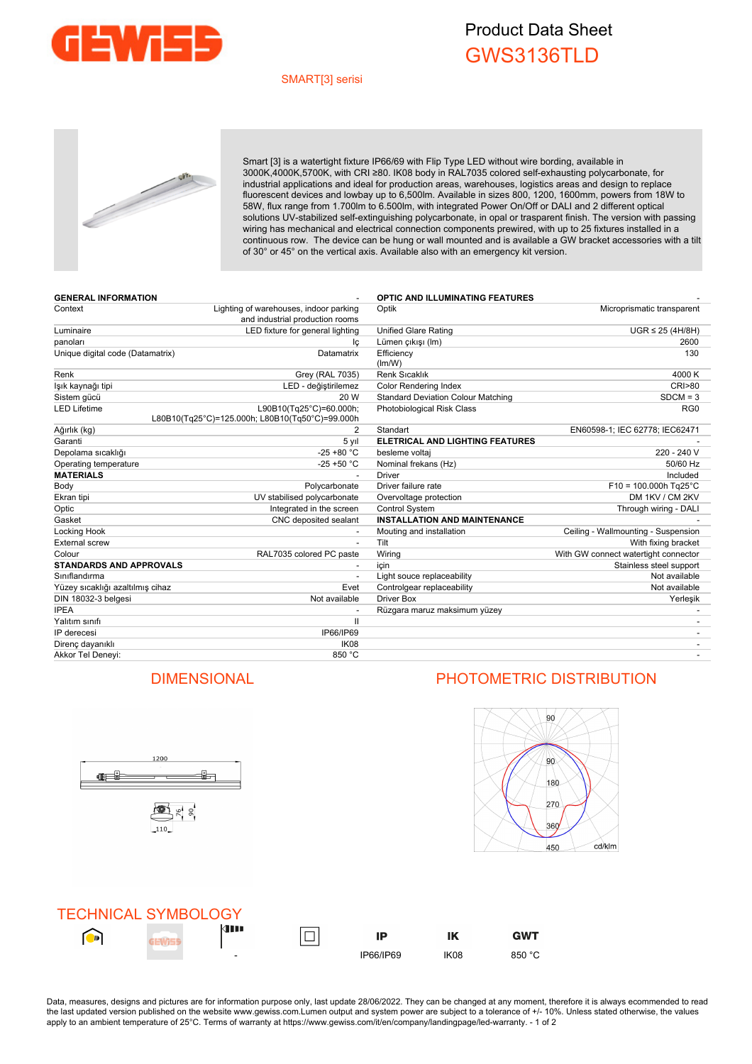

## Product Data Sheet GWS3136TLD

### SMART[3] serisi



Smart [3] is a watertight fixture IP66/69 with Flip Type LED without wire bording, available in 3000K,4000K,5700K, with CRI ≥80. IK08 body in RAL7035 colored self-exhausting polycarbonate, for industrial applications and ideal for production areas, warehouses, logistics areas and design to replace fluorescent devices and lowbay up to 6,500lm. Available in sizes 800, 1200, 1600mm, powers from 18W to 58W, flux range from 1.700lm to 6.500lm, with integrated Power On/Off or DALI and 2 different optical solutions UV-stabilized self-extinguishing polycarbonate, in opal or trasparent finish. The version with passing wiring has mechanical and electrical connection components prewired, with up to 25 fixtures installed in a continuous row. The device can be hung or wall mounted and is available a GW bracket accessories with a tilt of 30° or 45° on the vertical axis. Available also with an emergency kit version.

| <b>GENERAL INFORMATION</b>       |                                                                            | <b>OPTIC AND ILLUMINATING FEATURES</b>    |                                      |
|----------------------------------|----------------------------------------------------------------------------|-------------------------------------------|--------------------------------------|
| Context                          | Lighting of warehouses, indoor parking                                     | Optik                                     | Microprismatic transparent           |
| Luminaire                        | and industrial production rooms<br>LED fixture for general lighting        | <b>Unified Glare Rating</b>               | $UGR \leq 25$ (4H/8H)                |
| panoları                         |                                                                            | Lümen çıkışı (Im)                         | 2600                                 |
| Unique digital code (Datamatrix) | lç<br>Datamatrix                                                           | Efficiency                                | 130                                  |
|                                  |                                                                            | (lm/W)                                    |                                      |
| Renk                             | Grey (RAL 7035)                                                            | Renk Sıcaklık                             | 4000 K                               |
| lşık kaynağı tipi                | LED - değiştirilemez                                                       | <b>Color Rendering Index</b>              | <b>CRI&gt;80</b>                     |
| Sistem gücü                      | 20 W                                                                       | <b>Standard Deviation Colour Matching</b> | $SDCM = 3$                           |
| LED Lifetime                     | L90B10(Tg25°C)=60.000h;<br>L80B10(Tq25°C)=125.000h; L80B10(Tq50°C)=99.000h | Photobiological Risk Class                | RG <sub>0</sub>                      |
| Ağırlık (kg)                     | 2                                                                          | Standart                                  | EN60598-1; IEC 62778; IEC62471       |
| Garanti                          | 5 yıl                                                                      | <b>ELETRICAL AND LIGHTING FEATURES</b>    |                                      |
| Depolama sıcaklığı               | $-25 + 80 °C$                                                              | besleme voltaj                            | 220 - 240 V                          |
| Operating temperature            | $-25 + 50 °C$                                                              | Nominal frekans (Hz)                      | 50/60 Hz                             |
| <b>MATERIALS</b>                 |                                                                            | <b>Driver</b>                             | Included                             |
| Body                             | Polycarbonate                                                              | Driver failure rate                       | $F10 = 100.000h$ Tg25°C              |
| Ekran tipi                       | UV stabilised polycarbonate                                                | Overvoltage protection                    | DM 1KV / CM 2KV                      |
| Optic                            | Integrated in the screen                                                   | <b>Control System</b>                     | Through wiring - DALI                |
| Gasket                           | CNC deposited sealant                                                      | <b>INSTALLATION AND MAINTENANCE</b>       |                                      |
| Locking Hook                     |                                                                            | Mouting and installation                  | Ceiling - Wallmounting - Suspension  |
| External screw                   |                                                                            | Tilt                                      | With fixing bracket                  |
| Colour                           | RAL7035 colored PC paste                                                   | Wiring                                    | With GW connect watertight connector |
| <b>STANDARDS AND APPROVALS</b>   |                                                                            | icin                                      | Stainless steel support              |
| Sınıflandırma                    |                                                                            | Light souce replaceability                | Not available                        |
| Yüzey sıcaklığı azaltılmış cihaz | Evet                                                                       | Controlgear replaceability                | Not available                        |
| DIN 18032-3 belgesi              | Not available                                                              | Driver Box                                | Yerleşik                             |
| <b>IPEA</b>                      |                                                                            | Rüzgara maruz maksimum yüzey              |                                      |
| Yalıtım sınıfı                   | $\mathbf{H}$                                                               |                                           |                                      |
| IP derecesi                      | IP66/IP69                                                                  |                                           |                                      |
| Direnç dayanıklı                 | IK <sub>08</sub>                                                           |                                           |                                      |
| Akkor Tel Deneyi:                | 850 °C                                                                     |                                           |                                      |



## DIMENSIONAL PHOTOMETRIC DISTRIBUTION



**GWT** 



Data, measures, designs and pictures are for information purpose only, last update 28/06/2022. They can be changed at any moment, therefore it is always ecommended to read the last updated version published on the website www.gewiss.com.Lumen output and system power are subject to a tolerance of +/- 10%. Unless stated otherwise, the values apply to an ambient temperature of 25°C. Terms of warranty at https://www.gewiss.com/it/en/company/landingpage/led-warranty. - 1 of 2